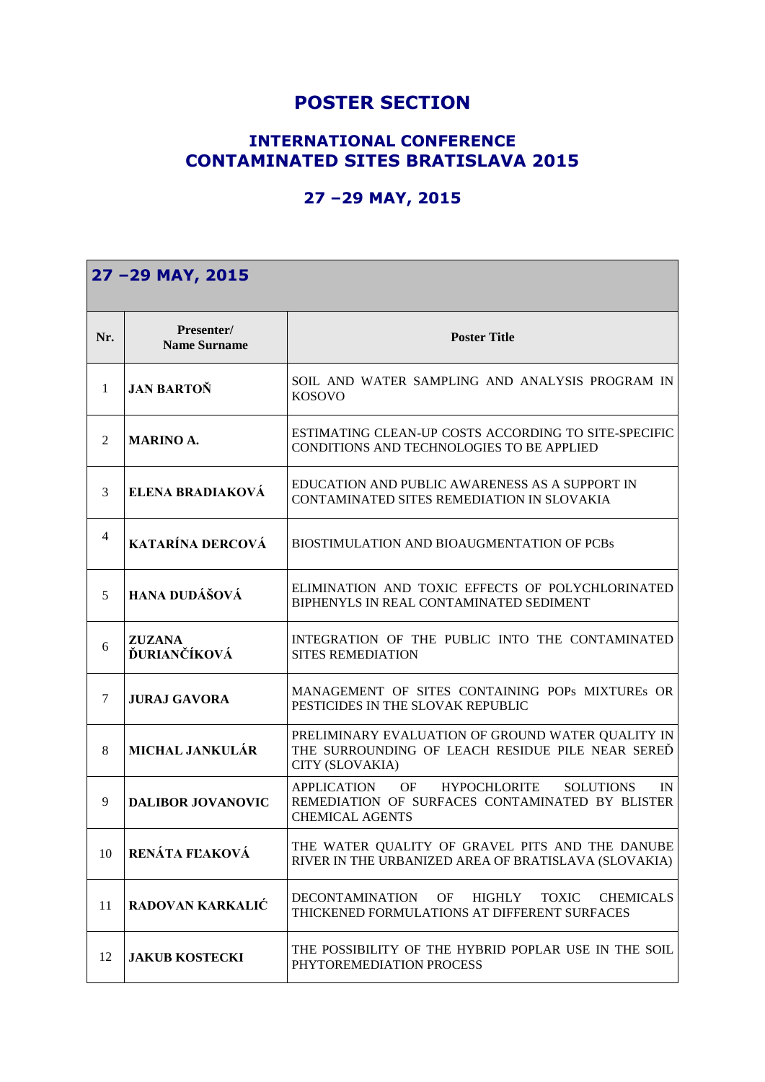## **POSTER SECTION**

## **INTERNATIONAL CONFERENCE CONTAMINATED SITES BRATISLAVA 2015**

## **27 –29 MAY, 2015**

| 27 -29 MAY, 2015 |                                   |                                                                                                                                   |
|------------------|-----------------------------------|-----------------------------------------------------------------------------------------------------------------------------------|
| Nr.              | Presenter/<br><b>Name Surname</b> | <b>Poster Title</b>                                                                                                               |
| $\mathbf{1}$     | <b>JAN BARTON</b>                 | SOIL AND WATER SAMPLING AND ANALYSIS PROGRAM IN<br><b>KOSOVO</b>                                                                  |
| 2                | <b>MARINO A.</b>                  | ESTIMATING CLEAN-UP COSTS ACCORDING TO SITE-SPECIFIC<br>CONDITIONS AND TECHNOLOGIES TO BE APPLIED                                 |
| 3                | ELENA BRADIAKOVÁ                  | EDUCATION AND PUBLIC AWARENESS AS A SUPPORT IN<br>CONTAMINATED SITES REMEDIATION IN SLOVAKIA                                      |
| $\overline{4}$   | <b>KATARÍNA DERCOVÁ</b>           | BIOSTIMULATION AND BIOAUGMENTATION OF PCBs                                                                                        |
| 5                | HANA DUDÁŠOVÁ                     | ELIMINATION AND TOXIC EFFECTS OF POLYCHLORINATED<br>BIPHENYLS IN REAL CONTAMINATED SEDIMENT                                       |
| 6                | <b>ZUZANA</b><br>ĎURIANČÍKOVÁ     | INTEGRATION OF THE PUBLIC INTO THE CONTAMINATED<br><b>SITES REMEDIATION</b>                                                       |
| 7                | <b>JURAJ GAVORA</b>               | MANAGEMENT OF SITES CONTAINING POPs MIXTUREs OR<br>PESTICIDES IN THE SLOVAK REPUBLIC                                              |
| 8                | <b>MICHAL JANKULÁR</b>            | PRELIMINARY EVALUATION OF GROUND WATER QUALITY IN<br>THE SURROUNDING OF LEACH RESIDUE PILE NEAR SERED<br>CITY (SLOVAKIA)          |
| 9                | <b>DALIBOR JOVANOVIC</b>          | APPLICATION OF<br>HYPOCHLORITE SOLUTIONS<br>IN<br>REMEDIATION OF SURFACES CONTAMINATED BY BLISTER<br><b>CHEMICAL AGENTS</b>       |
| 10               | RENÁTA FLAKOVÁ                    | THE WATER QUALITY OF GRAVEL PITS AND THE DANUBE<br>RIVER IN THE URBANIZED AREA OF BRATISLAVA (SLOVAKIA)                           |
| 11               | <b>RADOVAN KARKALIĆ</b>           | OF<br><b>DECONTAMINATION</b><br><b>HIGHLY</b><br><b>TOXIC</b><br><b>CHEMICALS</b><br>THICKENED FORMULATIONS AT DIFFERENT SURFACES |
| 12               | <b>JAKUB KOSTECKI</b>             | THE POSSIBILITY OF THE HYBRID POPLAR USE IN THE SOIL<br>PHYTOREMEDIATION PROCESS                                                  |